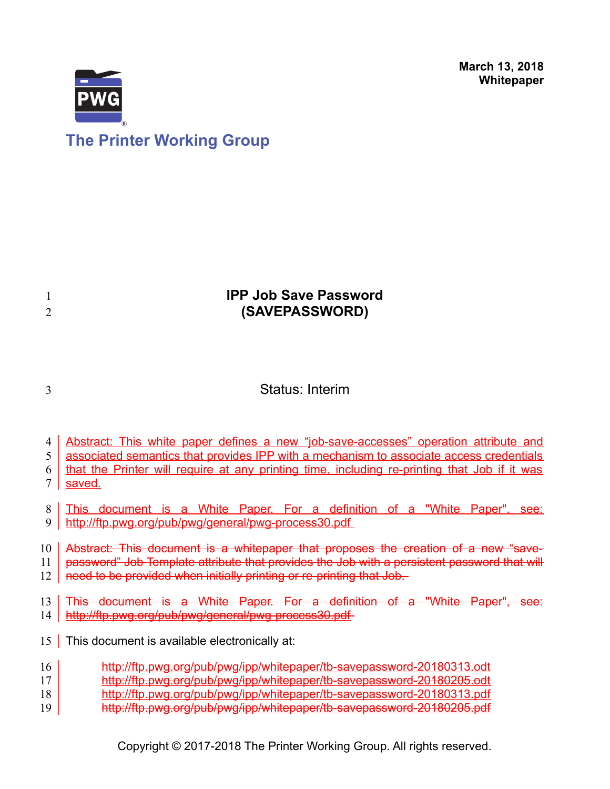

# **The Printer Working Group**

### **IPP Job Save Password (SAVEPASSWORD)**

3

1 2

### Status: Interim

- Abstract: This white paper defines a new "job-save-accesses" operation attribute and 4
- associated semantics that provides IPP with a mechanism to associate access credentials 5

that the Printer will require at any printing time, including re-printing that Job if it was saved. 6 7

- This document is a White Paper. For a definition of a "White Paper", see: 8
- <http://ftp.pwg.org/pub/pwg/general/pwg-process30.pdf> 9

Abstract: This document is a whitepaper that proposes the creation of a new "save-10

password" Job Template attribute that provides the Job with a persistent password that will 11

need to be provided when initially printing or re-printing that Job. 12

This document is a White Paper. For a definition of a "White Paper", see: <http://ftp.pwg.org/pub/pwg/general/pwg-process30.pdf> 13 14

- 15 This document is available electronically at:
- <http://ftp.pwg.org/pub/pwg/ipp/whitepaper/tb-savepassword-20180313.odt> 16
- <http://ftp.pwg.org/pub/pwg/ipp/whitepaper/tb-savepassword-20180205.odt> 17
- <http://ftp.pwg.org/pub/pwg/ipp/whitepaper/tb-savepassword-20180313.pdf> 18
- <http://ftp.pwg.org/pub/pwg/ipp/whitepaper/tb-savepassword-20180205.pdf> 19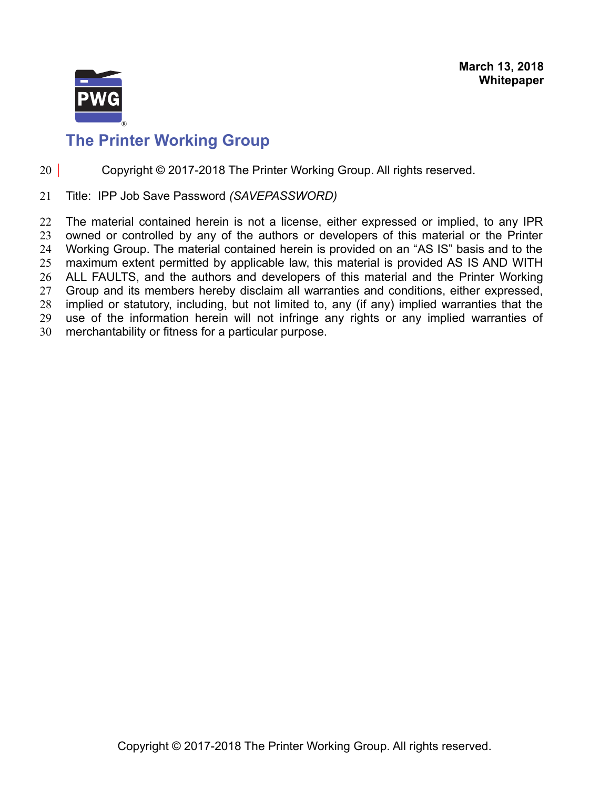

#### Copyright © 2017-2018 The Printer Working Group. All rights reserved. 20

Title: IPP Job Save Password *(SAVEPASSWORD)* 21

The material contained herein is not a license, either expressed or implied, to any IPR owned or controlled by any of the authors or developers of this material or the Printer Working Group. The material contained herein is provided on an "AS IS" basis and to the maximum extent permitted by applicable law, this material is provided AS IS AND WITH ALL FAULTS, and the authors and developers of this material and the Printer Working Group and its members hereby disclaim all warranties and conditions, either expressed, implied or statutory, including, but not limited to, any (if any) implied warranties that the use of the information herein will not infringe any rights or any implied warranties of merchantability or fitness for a particular purpose. 22 23 24 25 26 27 28 29 30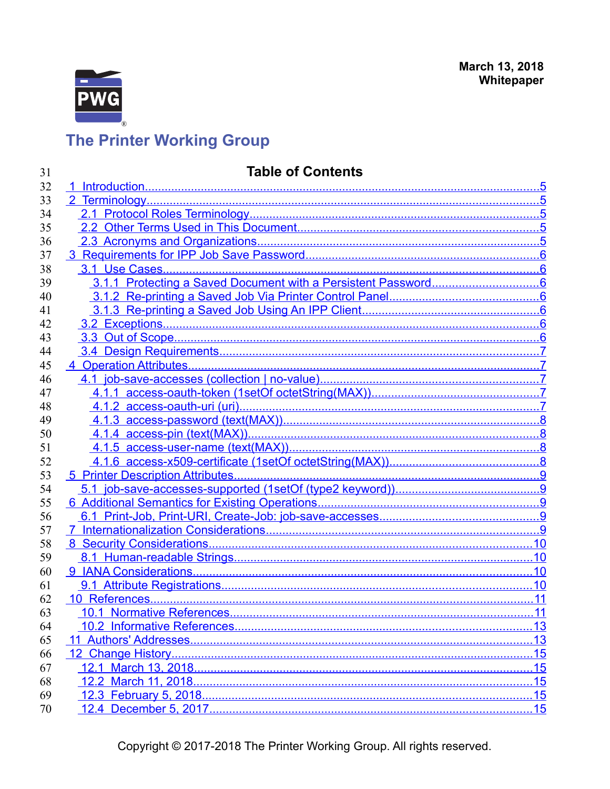

#### $5\overline{5}$ .6  $\overline{.7}$ .7 <u>8.</u> 5 Printer Description Attributes................... .9

Copyright © 2017-2018 The Printer Working Group. All rights reserved.

### **Table of Contents**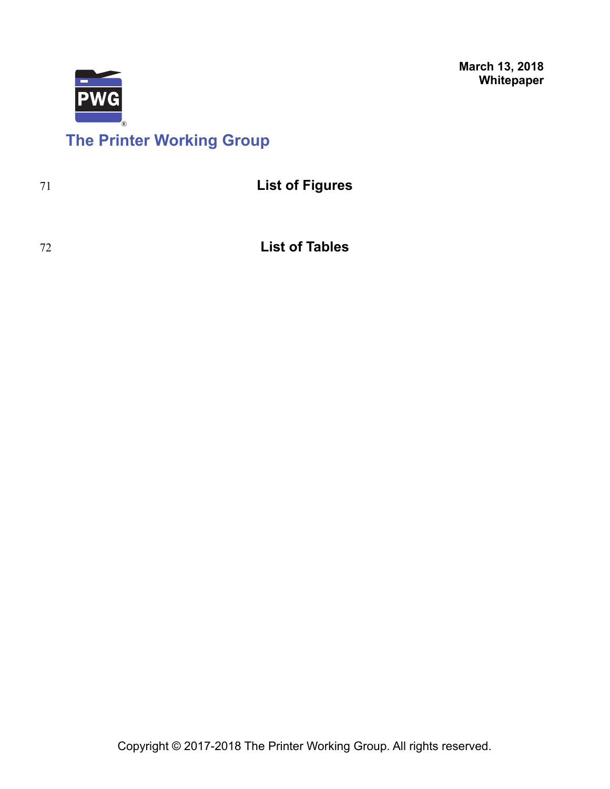

# **The Printer Working Group**

| -71 | <b>List of Figures</b> |
|-----|------------------------|
|     |                        |

72

**List of Tables**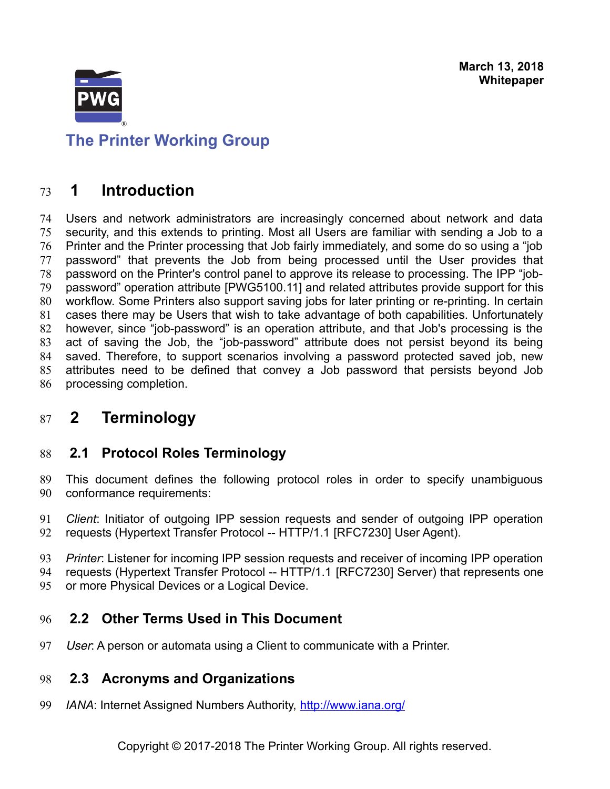

<span id="page-4-4"></span>**The Printer Working Group**

### **1 Introduction** 73

Users and network administrators are increasingly concerned about network and data security, and this extends to printing. Most all Users are familiar with sending a Job to a Printer and the Printer processing that Job fairly immediately, and some do so using a "job password" that prevents the Job from being processed until the User provides that password on the Printer's control panel to approve its release to processing. The IPP "jobpassword" operation attribute [\[PWG5100.11\]](#page-15-0) and related attributes provide support for this workflow. Some Printers also support saving jobs for later printing or re-printing. In certain cases there may be Users that wish to take advantage of both capabilities. Unfortunately however, since "job-password" is an operation attribute, and that Job's processing is the act of saving the Job, the "job-password" attribute does not persist beyond its being saved. Therefore, to support scenarios involving a password protected saved job, new attributes need to be defined that convey a Job password that persists beyond Job processing completion. 74 75 76 77 78 79 80 81 82 83 84 85 86

### <span id="page-4-3"></span> **2 Terminology** 87

### <span id="page-4-2"></span> **2.1 Protocol Roles Terminology** 88

- This document defines the following protocol roles in order to specify unambiguous conformance requirements: 89 90
- *Client*: Initiator of outgoing IPP session requests and sender of outgoing IPP operation requests (Hypertext Transfer Protocol -- HTTP/1.1 [\[RFC7230\]](#page-15-1) User Agent). 91 92
- *Printer*: Listener for incoming IPP session requests and receiver of incoming IPP operation requests (Hypertext Transfer Protocol -- HTTP/1.1 [\[RFC7230\]](#page-15-1) Server) that represents one 93 94
- or more Physical Devices or a Logical Device. 95

### <span id="page-4-1"></span> **2.2 Other Terms Used in This Document** 96

User: A person or automata using a Client to communicate with a Printer. 97

#### <span id="page-4-0"></span> **2.3 Acronyms and Organizations** 98

*IANA*: Internet Assigned Numbers Authority,<http://www.iana.org/> 99

Copyright © 2017-2018 The Printer Working Group. All rights reserved.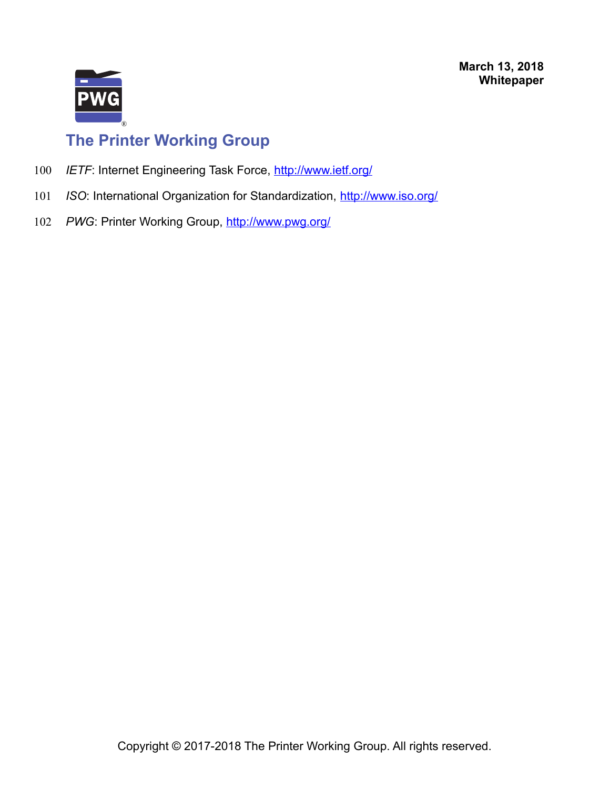

- *IETF*: Internet Engineering Task Force,<http://www.ietf.org/> 100
- *ISO*: International Organization for Standardization,<http://www.iso.org/> 101
- PWG: Printer Working Group,<http://www.pwg.org/> 102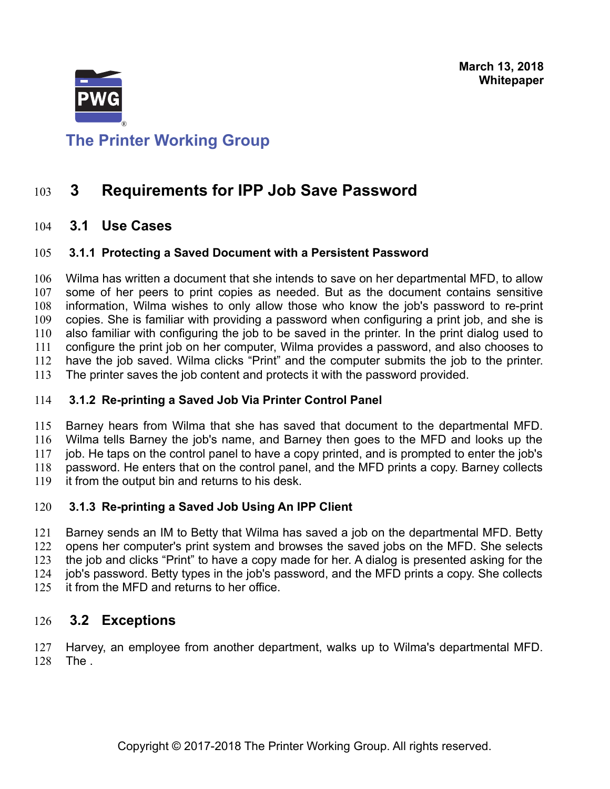

## <span id="page-6-5"></span>**The Printer Working Group**

### **3 Requirements for IPP Job Save Password** 103

#### <span id="page-6-4"></span> **3.1 Use Cases** 104

#### <span id="page-6-3"></span> **3.1.1 Protecting a Saved Document with a Persistent Password** 105

Wilma has written a document that she intends to save on her departmental MFD, to allow some of her peers to print copies as needed. But as the document contains sensitive information, Wilma wishes to only allow those who know the job's password to re-print copies. She is familiar with providing a password when configuring a print job, and she is also familiar with configuring the job to be saved in the printer. In the print dialog used to configure the print job on her computer, Wilma provides a password, and also chooses to have the job saved. Wilma clicks "Print" and the computer submits the job to the printer. The printer saves the job content and protects it with the password provided. 106 107 108 109 110 111 112 113

#### <span id="page-6-2"></span> **3.1.2 Re-printing a Saved Job Via Printer Control Panel** 114

Barney hears from Wilma that she has saved that document to the departmental MFD. Wilma tells Barney the job's name, and Barney then goes to the MFD and looks up the job. He taps on the control panel to have a copy printed, and is prompted to enter the job's password. He enters that on the control panel, and the MFD prints a copy. Barney collects it from the output bin and returns to his desk. 115 116 117 118 119

#### <span id="page-6-1"></span> **3.1.3 Re-printing a Saved Job Using An IPP Client** 120

Barney sends an IM to Betty that Wilma has saved a job on the departmental MFD. Betty opens her computer's print system and browses the saved jobs on the MFD. She selects the job and clicks "Print" to have a copy made for her. A dialog is presented asking for the job's password. Betty types in the job's password, and the MFD prints a copy. She collects it from the MFD and returns to her office. 121 122 123 124 125

#### <span id="page-6-0"></span> **3.2 Exceptions** 126

Harvey, an employee from another department, walks up to Wilma's departmental MFD. The . 127 128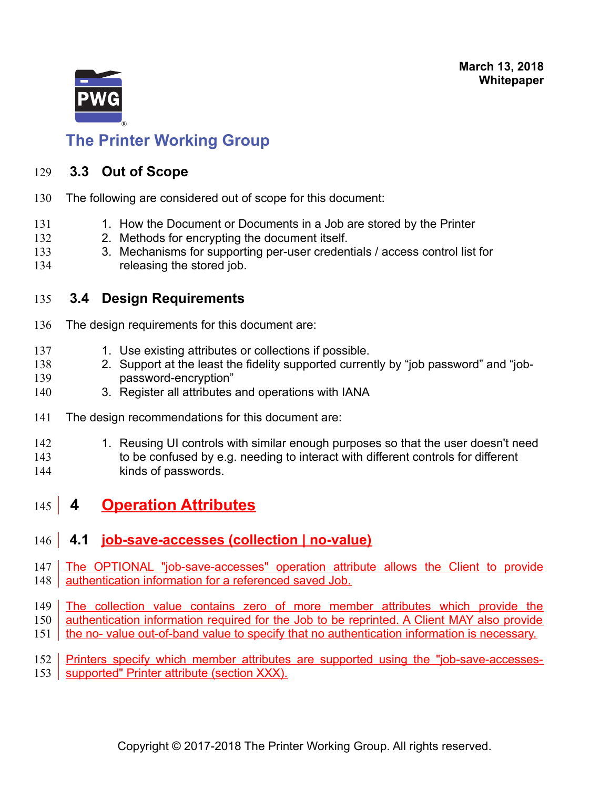

#### <span id="page-7-3"></span> **3.3 Out of Scope** 129

- The following are considered out of scope for this document: 130
- 1. How the Document or Documents in a Job are stored by the Printer 131
- 2. Methods for encrypting the document itself. 132
- 3. Mechanisms for supporting per-user credentials / access control list for releasing the stored job. 133 134

#### <span id="page-7-2"></span> **3.4 Design Requirements** 135

- The design requirements for this document are: 136
- 1. Use existing attributes or collections if possible. 137
- 2. Support at the least the fidelity supported currently by "job password" and "jobpassword-encryption" 138 139
- 3. Register all attributes and operations with IANA 140
- The design recommendations for this document are: 141
- 1. Reusing UI controls with similar enough purposes so that the user doesn't need 142
- to be confused by e.g. needing to interact with different controls for different kinds of passwords. 143 144

### <span id="page-7-1"></span> **4 Operation Attributes** 145

### <span id="page-7-0"></span> **4.1 job-save-accesses (collection | no-value)** 146

- The OPTIONAL "job-save-accesses" operation attribute allows the Client to provide authentication information for a referenced saved Job. 147 148
- The collection value contains zero of more member attributes which provide the 149
- authentication information required for the Job to be reprinted. A Client MAY also provide 150
- the no- value out-of-band value to specify that no authentication information is necessary. 151
- Printers specify which member attributes are supported using the "job-save-accessessupported" Printer attribute (section XXX). 152 153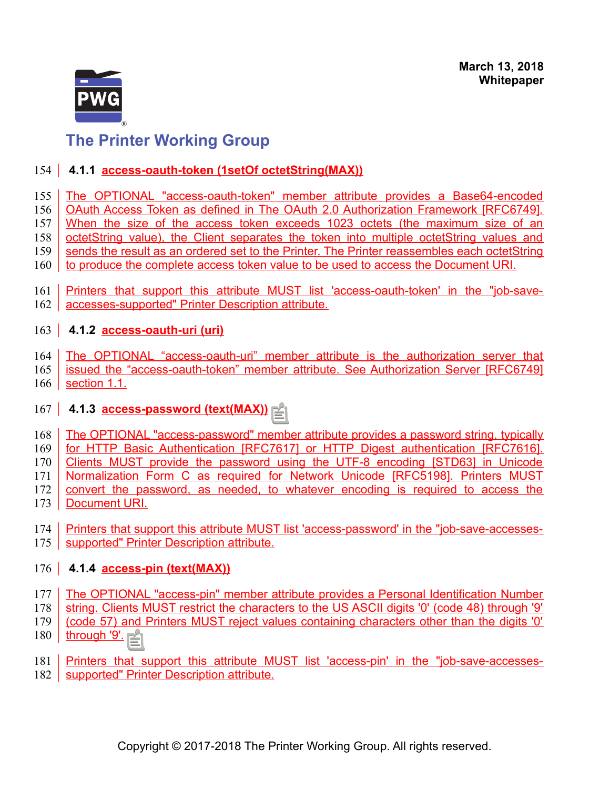

### <span id="page-8-3"></span>154 | 4.1.1 **access-oauth-token (1setOf octetString(MAX))**

- The OPTIONAL "access-oauth-token" member attribute provides a Base64-encoded 155
- OAuth Access Token as defined in The OAuth 2.0 Authorization Framework [RFC6749]. 156
- When the size of the access token exceeds 1023 octets (the maximum size of an 157
- octetString value), the Client separates the token into multiple octetString values and 158
- sends the result as an ordered set to the Printer. The Printer reassembles each octetString 159
- to produce the complete access token value to be used to access the Document URI. 160
- Printers that support this attribute MUST list 'access-oauth-token' in the "job-saveaccesses-supported" Printer Description attribute. 161 162

### <span id="page-8-2"></span>163 **4.1.2 access-oauth-uri (uri)**

- The OPTIONAL "access-oauth-uri" member attribute is the authorization server that 164
- issued the "access-oauth-token" member attribute. See Authorization Server [RFC6749] section 1.1. 165 166

## <span id="page-8-1"></span>167 **4.1.3 access-password (text(MAX))**

- The OPTIONAL "access-password" member attribute provides a password string, typically 168
- for HTTP Basic Authentication [RFC7617] or HTTP Digest authentication [RFC7616]. 169
- Clients MUST provide the password using the UTF-8 encoding [STD63] in Unicode 170
- Normalization Form C as required for Network Unicode [RFC5198]. Printers MUST 171
- convert the password, as needed, to whatever encoding is required to access the 172
- Document URI. 173
- Printers that support this attribute MUST list 'access-password' in the "job-save-accesses-175 | supported" Printer Description attribute. 174

### <span id="page-8-0"></span>176 **4.1.4 access-pin (text(MAX))**

- The OPTIONAL "access-pin" member attribute provides a Personal Identification Number 177
- string. Clients MUST restrict the characters to the US ASCII digits '0' (code 48) through '9' 178
- (code 57) and Printers MUST reject values containing characters other than the digits '0' 179
- through '9'. 180
- Printers that support this attribute MUST list 'access-pin' in the "job-save-accessessupported" Printer Description attribute. 181 182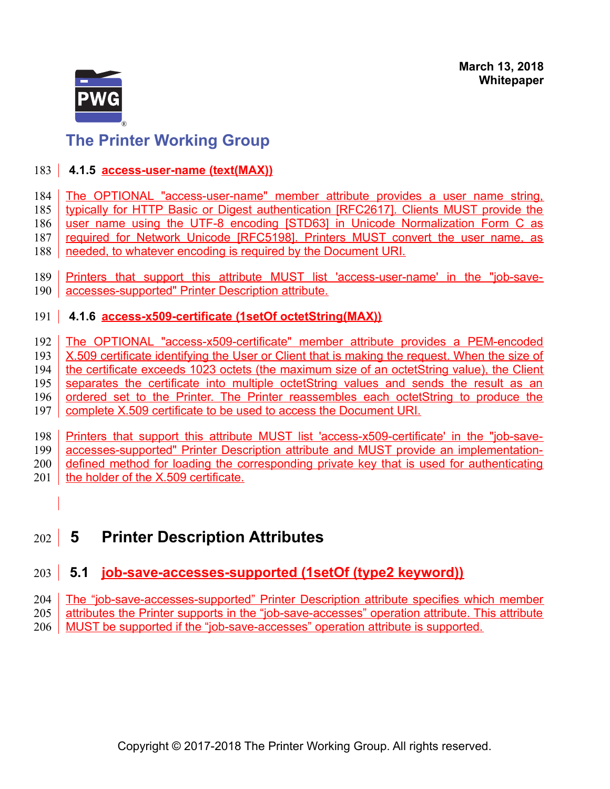

### <span id="page-9-3"></span>183 **4.1.5 access-user-name (text(MAX))**

The OPTIONAL "access-user-name" member attribute provides a user name string, 184

typically for HTTP Basic or Digest authentication [RFC2617]. Clients MUST provide the 185

user name using the UTF-8 encoding [STD63] in Unicode Normalization Form C as required for Network Unicode [RFC5198]. Printers MUST convert the user name, as 186 187

needed, to whatever encoding is required by the Document URI. 188

Printers that support this attribute MUST list 'access-user-name' in the "job-saveaccesses-supported" Printer Description attribute. 189  $190$ 

### <span id="page-9-2"></span>191 | 4.1.6 access-x509-certificate (1setOf octetString(MAX))

The OPTIONAL "access-x509-certificate" member attribute provides a PEM-encoded 192

X.509 certificate identifying the User or Client that is making the request. When the size of 193

the certificate exceeds 1023 octets (the maximum size of an octetString value), the Client 194

separates the certificate into multiple octetString values and sends the result as an ordered set to the Printer. The Printer reassembles each octetString to produce the 195 196

complete X.509 certificate to be used to access the Document URI. 197

Printers that support this attribute MUST list 'access-x509-certificate' in the "job-saveaccesses-supported" Printer Description attribute and MUST provide an implementation-198 199

defined method for loading the corresponding private key that is used for authenticating 200

- the holder of the X.509 certificate. 201
	-

### <span id="page-9-1"></span> **5 Printer Description Attributes** 202

### <span id="page-9-0"></span> **5.1 job-save-accesses-supported (1setOf (type2 keyword))** 203

The "job-save-accesses-supported" Printer Description attribute specifies which member 204

attributes the Printer supports in the "job-save-accesses" operation attribute. This attribute 205

MUST be supported if the "job-save-accesses" operation attribute is supported. 206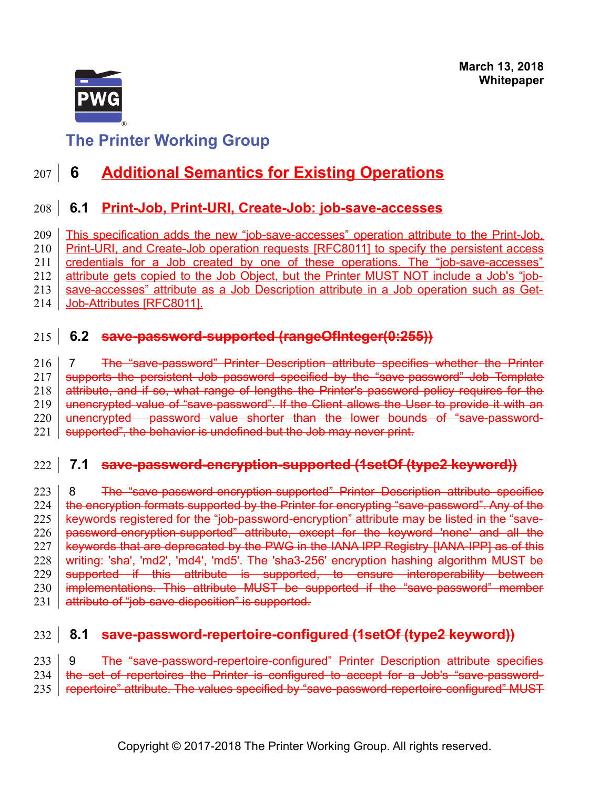

### <span id="page-10-1"></span> **6 Additional Semantics for Existing Operations** 207 |

### <span id="page-10-0"></span> **6.1 Print-Job, Print-URI, Create-Job: job-save-accesses** 208

This specification adds the new "job-save-accesses" operation attribute to the Print-Job, Print-URI, and Create-Job operation requests [\[RFC8011\]](#page-16-0) to specify the persistent access credentials for a Job created by one of these operations. The "job-save-accesses" attribute gets copied to the Job Object, but the Printer MUST NOT include a Job's "jobsave-accesses" attribute as a Job Description attribute in a Job operation such as Get-Job-Attributes [\[RFC8011\].](#page-16-0) 209 210 211 212 213 214

### **6.2 save-password-supported (rangeOfInteger(0:255))** 215

 7 The "save-password" Printer Description attribute specifies whether the Printer supports the persistent Job password specified by the "save-password" Job Template attribute, and if so, what range of lengths the Printer's password policy requires for the unencrypted value of "save-password". If the Client allows the User to provide it with an unencrypted password value shorter than the lower bounds of "save-passwordsupported", the behavior is undefined but the Job may never print. 216 217 218 219 220 221

#### **7.1 save-password-encryption-supported (1setOf (type2 keyword))** 222

8 The "save-password-encryption-supported" Printer Description attribute specifies the encryption formats supported by the Printer for encrypting "save-password". Any of the keywords registered for the "job-password-encryption" attribute may be listed in the "savepassword-encryption-supported" attribute, except for the keyword 'none' and all the keywords that are deprecated by the PWG in the IANA IPP Registry [\[IANA-IPP\]](#page-17-2) as of this writing: 'sha', 'md2', 'md4', 'md5'. The 'sha3-256' encryption hashing algorithm MUST be supported if this attribute is supported, to ensure interoperability between implementations. This attribute MUST be supported if the "save-password" member attribute of "job-save-disposition" is supported. 223 224 225 226 227 228 229 230 231

#### **8.1 save-password-repertoire-configured (1setOf (type2 keyword))** 232

 9 The "save-password-repertoire-configured" Printer Description attribute specifies the set of repertoires the Printer is configured to accept for a Job's "save-passwordrepertoire" attribute. The values specified by "save-password-repertoire-configured" MUST 233 234 235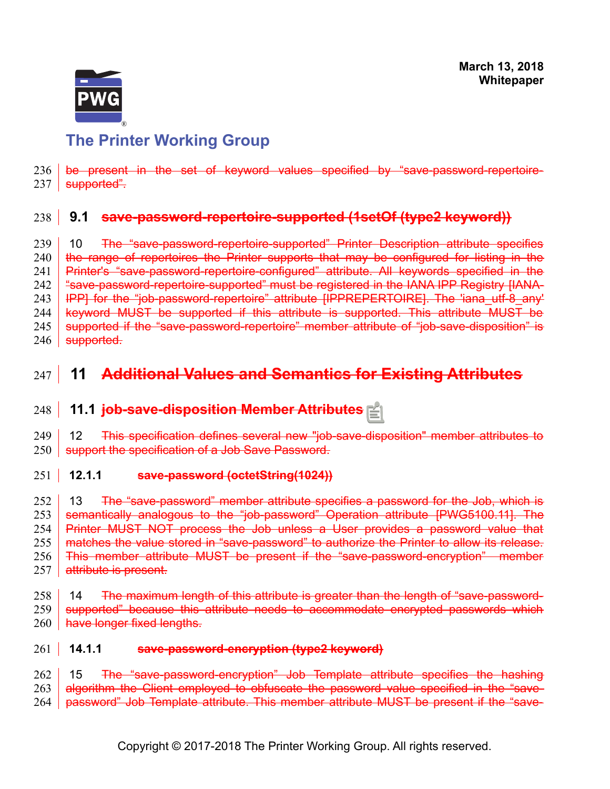

be present in the set of keyword values specified by "save-password-repertoire-237 | <del>supported".</del> 236

### **9.1 save-password-repertoire-supported (1setOf (type2 keyword))** 238

 10 The "save-password-repertoire-supported" Printer Description attribute specifies the range of repertoires the Printer supports that may be configured for listing in the Printer's "save-password-repertoire-configured" attribute. All keywords specified in the "save-password-repertoire-supported" must be registered in the IANA IPP Registry [\[IANA-](#page-17-2)[IPP\]](#page-17-2) for the "job-password-repertoire" attribute [\[IPPREPERTOIRE\].](#page-14-2) The 'iana\_utf-8\_any' keyword MUST be supported if this attribute is supported. This attribute MUST be supported if the "save-password-repertoire" member attribute of "job-save-disposition" is supported. 239 240 241 242 243 244 245 246

### **11 Additional Values and Semantics for Existing Attributes** 247

#### **11.1 job-save-disposition Member Attributes** 248

 12 This specification defines several new "job-save-disposition" member attributes to support the specification of a Job Save Password. 249 250

#### **12.1.1 save-password (octetString(1024))**  $251$

 13 The "save-password" member attribute specifies a password for the Job, which is semantically analogous to the "job-password" Operation attribute [\[PWG5100.11\].](#page-15-0) The Printer MUST NOT process the Job unless a User provides a password value that matches the value stored in "save-password" to authorize the Printer to allow its release. This member attribute MUST be present if the "save-password-encryption" member attribute is present. 252 253 254 255 256 257

 14 The maximum length of this attribute is greater than the length of "save-passwordsupported" because this attribute needs to accommodate encrypted passwords which have longer fixed lengths. 258 259 260

#### **14.1.1 save-password-encryption (type2 keyword)**  $261$

 15 The "save-password-encryption" Job Template attribute specifies the hashing algorithm the Client employed to obfuscate the password value specified in the "savepassword" Job Template attribute. This member attribute MUST be present if the "save-262 263 264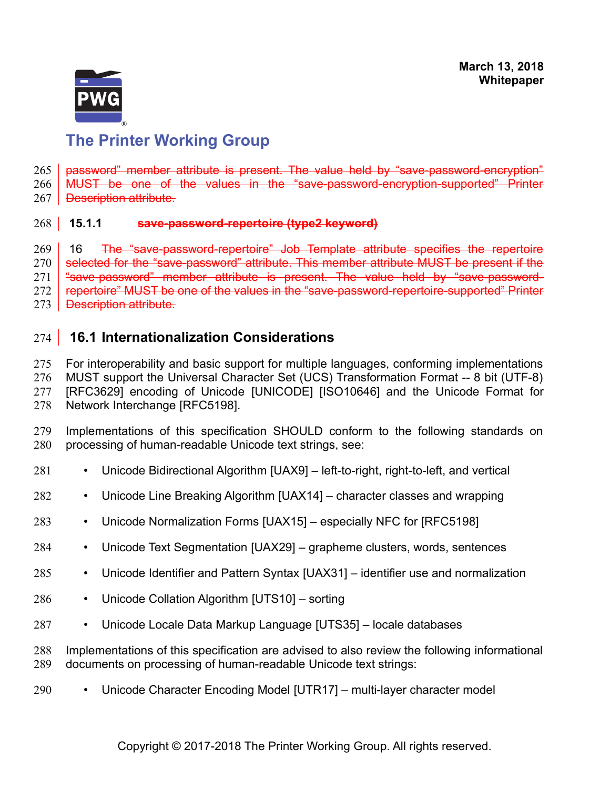

password" member attribute is present. The value held by "save-password-encryption" MUST be one of the values in the "save-password-encryption-supported" Printer Description attribute. 265 266 267

#### **15.1.1 save-password-repertoire (type2 keyword)**  $268$  15.1.1

 16 The "save-password-repertoire" Job Template attribute specifies the repertoire selected for the "save-password" attribute. This member attribute MUST be present if the "save-password" member attribute is present. The value held by "save-passwordrepertoire" MUST be one of the values in the "save-password-repertoire-supported" Printer 269 270 271 272

Description attribute. 273

#### <span id="page-12-0"></span> **16.1 Internationalization Considerations** 274

For interoperability and basic support for multiple languages, conforming implementations MUST support the Universal Character Set (UCS) Transformation Format -- 8 bit (UTF-8) [RFC3629] encoding of Unicode [\[UNICODE\]](#page-16-8) [\[ISO10646\]](#page-14-3) and the Unicode Format for Network Interchange [\[RFC5198\].](#page-15-2) 275 276 277 278

Implementations of this specification SHOULD conform to the following standards on processing of human-readable Unicode text strings, see: 279 280

- Unicode Bidirectional Algorithm [\[UAX9\]](#page-16-7)  left-to-right, right-to-left, and vertical 281
- Unicode Line Breaking Algorithm [\[UAX14\]](#page-16-6)  character classes and wrapping 282
- Unicode Normalization Forms [\[UAX15\]](#page-16-5)  especially NFC for [\[RFC5198\]](#page-15-2) 283
- Unicode Text Segmentation [\[UAX29\]](#page-16-4)  grapheme clusters, words, sentences 284
- Unicode Identifier and Pattern Syntax [\[UAX31\]](#page-16-3)  identifier use and normalization 285
- Unicode Collation Algorithm [\[UTS10\]](#page-16-2)  sorting 286
- Unicode Locale Data Markup Language [\[UTS35\]](#page-16-1)  locale databases 287

Implementations of this specification are advised to also review the following informational documents on processing of human-readable Unicode text strings: 288 289

• Unicode Character Encoding Model [\[UTR17\]](#page-17-3) – multi-layer character model 290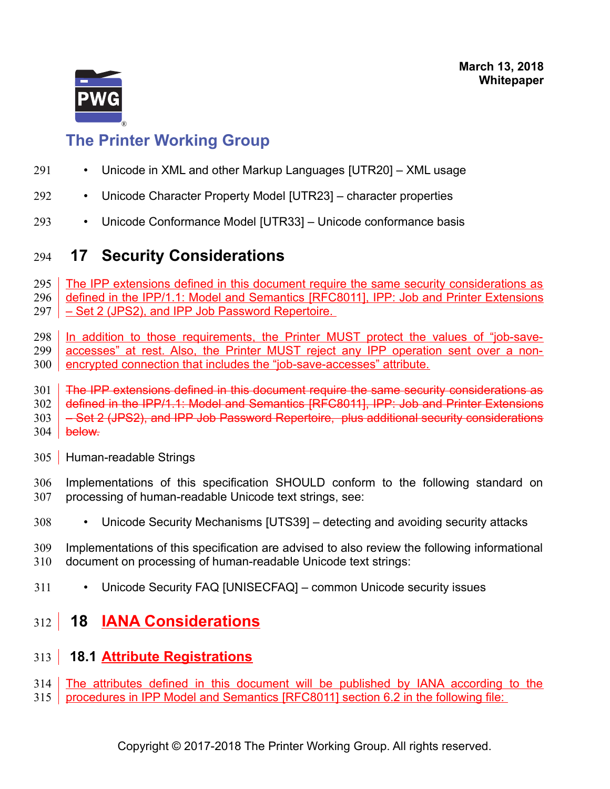

- Unicode in XML and other Markup Languages [\[UTR20\]](#page-17-7)  XML usage 291
- Unicode Character Property Model [\[UTR23\]](#page-17-6)  character properties 292
- Unicode Conformance Model [\[UTR33\]](#page-17-5)  Unicode conformance basis 293

### <span id="page-13-3"></span> **17 Security Considerations** 294

The IPP extensions defined in this document require the same security considerations as defined in the IPP/1.1: Model and Semantics [\[RFC8011\],](#page-16-0) IPP: Job and Printer Extensions – Set 2 (JPS2), and IPP Job Password Repertoire. 295 296 297

In addition to those requirements, the Printer MUST protect the values of "job-saveaccesses" at rest. Also, the Printer MUST reject any IPP operation sent over a nonencrypted connection that includes the "job-save-accesses" attribute. 298 299 300

The IPP extensions defined in this document require the same security considerations as 301

defined in the IPP/1.1: Model and Semantics [\[RFC8011\],](#page-16-0) IPP: Job and Printer Extensions 302

– Set 2 (JPS2), and IPP Job Password Repertoire, plus additional security considerations 303

- below. 304
- <span id="page-13-2"></span>305 | Human-readable Strings
- Implementations of this specification SHOULD conform to the following standard on processing of human-readable Unicode text strings, see: 306 307
- Unicode Security Mechanisms [\[UTS39\]](#page-16-9)  detecting and avoiding security attacks 308
- Implementations of this specification are advised to also review the following informational document on processing of human-readable Unicode text strings: 309 310
- Unicode Security FAQ [\[UNISECFAQ\]](#page-17-4)  common Unicode security issues 311

### <span id="page-13-1"></span> **18 IANA Considerations** 312

#### <span id="page-13-0"></span> **18.1 Attribute Registrations** 313

- The attributes defined in this document will be published by IANA according to the 314
- 315 | procedures in IPP Model and Semantics [\[RFC8011\]](#page-16-0) section 6.2 in the following file: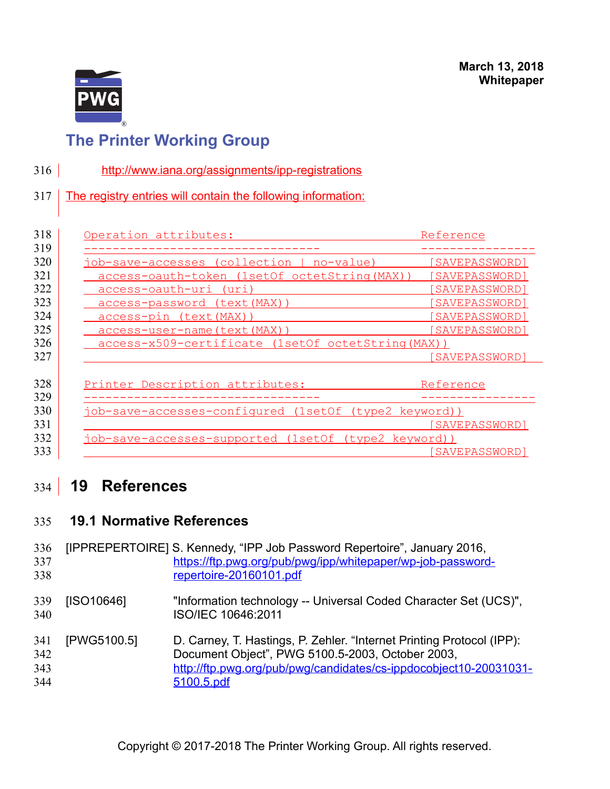

- <http://www.iana.org/assignments/ipp-registrations> 316
- The registry entries will contain the following information: 317

| Operation attributes:                                 | Reference      |
|-------------------------------------------------------|----------------|
|                                                       |                |
| job-save-accesses (collection  <br>no-value)          | SAVEPASSWORD]  |
| access-oauth-token (1setOf octetString (MAX))         | [SAVEPASSWORD] |
| access-oauth-uri (uri)                                | SAVEPASSWORD]  |
| <u>access-password (text(MAX))</u>                    | [SAVEPASSWORD] |
| access-pin (text (MAX))                               | [SAVEPASSWORD] |
| <u>access-user-name(text(MAX))</u>                    | SAVEPASSWORD]  |
| access-x509-certificate (1setOf octetString (MAX))    |                |
|                                                       | [SAVEPASSWORD] |
| Printer Description attributes:                       | Reference      |
| job-save-accesses-configured (1setOf (type2 keyword)) |                |
|                                                       | [SAVEPASSWORD] |
| job-save-accesses-supported (1setOf (type2 keyword))  |                |
|                                                       | SAVEPASSWORD]  |

### <span id="page-14-1"></span> **19 References**  $334$

#### <span id="page-14-0"></span> **19.1 Normative References** 335

<span id="page-14-3"></span><span id="page-14-2"></span>

| 336<br>337<br>338        |             | [IPPREPERTOIRE] S. Kennedy, "IPP Job Password Repertoire", January 2016,<br>https://ftp.pwg.org/pub/pwg/ipp/whitepaper/wp-job-password-<br>repertoire-20160101.pdf                                           |
|--------------------------|-------------|--------------------------------------------------------------------------------------------------------------------------------------------------------------------------------------------------------------|
| 339<br>340               | [ISO10646]  | "Information technology -- Universal Coded Character Set (UCS)",<br>ISO/IEC 10646:2011                                                                                                                       |
| 341<br>342<br>343<br>344 | [PWG5100.5] | D. Carney, T. Hastings, P. Zehler. "Internet Printing Protocol (IPP):<br>Document Object", PWG 5100.5-2003, October 2003,<br>http://ftp.pwg.org/pub/pwg/candidates/cs-ippdocobject10-20031031-<br>5100.5.pdf |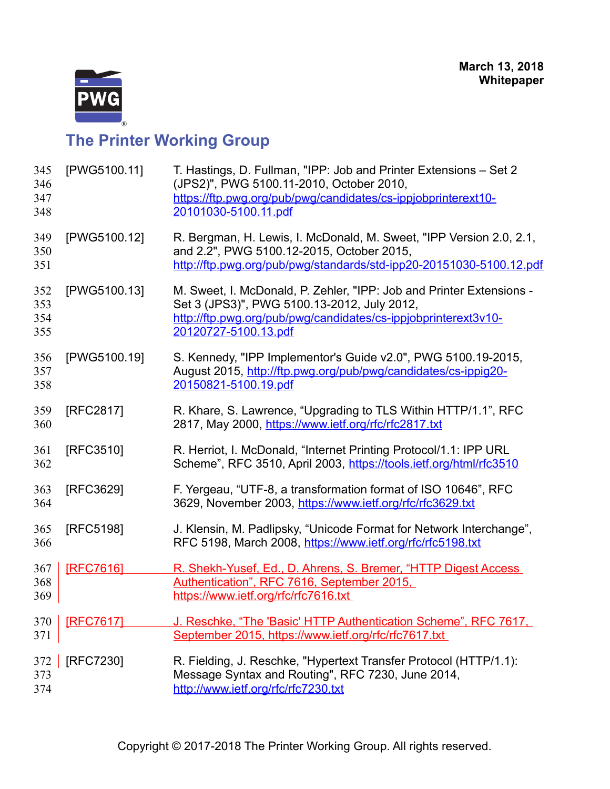

<span id="page-15-2"></span><span id="page-15-1"></span><span id="page-15-0"></span>

| 345<br>346<br>347<br>348 | [PWG5100.11]     | T. Hastings, D. Fullman, "IPP: Job and Printer Extensions - Set 2<br>(JPS2)", PWG 5100.11-2010, October 2010,<br>https://ftp.pwg.org/pub/pwg/candidates/cs-ippjobprinterext10-<br>20101030-5100.11.pdf        |
|--------------------------|------------------|---------------------------------------------------------------------------------------------------------------------------------------------------------------------------------------------------------------|
| 349<br>350<br>351        | [PWG5100.12]     | R. Bergman, H. Lewis, I. McDonald, M. Sweet, "IPP Version 2.0, 2.1,<br>and 2.2", PWG 5100.12-2015, October 2015,<br>http://ftp.pwg.org/pub/pwg/standards/std-ipp20-20151030-5100.12.pdf                       |
| 352<br>353<br>354<br>355 | [PWG5100.13]     | M. Sweet, I. McDonald, P. Zehler, "IPP: Job and Printer Extensions -<br>Set 3 (JPS3)", PWG 5100.13-2012, July 2012,<br>http://ftp.pwg.org/pub/pwg/candidates/cs-ippjobprinterext3v10-<br>20120727-5100.13.pdf |
| 356<br>357<br>358        | [PWG5100.19]     | S. Kennedy, "IPP Implementor's Guide v2.0", PWG 5100.19-2015,<br>August 2015, http://ftp.pwg.org/pub/pwg/candidates/cs-ippig20-<br>20150821-5100.19.pdf                                                       |
| 359<br>360               | [RFC2817]        | R. Khare, S. Lawrence, "Upgrading to TLS Within HTTP/1.1", RFC<br>2817, May 2000, https://www.ietf.org/rfc/rfc2817.txt                                                                                        |
| 361<br>362               | [RFC3510]        | R. Herriot, I. McDonald, "Internet Printing Protocol/1.1: IPP URL<br>Scheme", RFC 3510, April 2003, https://tools.ietf.org/html/rfc3510                                                                       |
| 363<br>364               | [RFC3629]        | F. Yergeau, "UTF-8, a transformation format of ISO 10646", RFC<br>3629, November 2003, https://www.ietf.org/rfc/rfc3629.txt                                                                                   |
| 365<br>366               | [RFC5198]        | J. Klensin, M. Padlipsky, "Unicode Format for Network Interchange",<br>RFC 5198, March 2008, https://www.ietf.org/rfc/rfc5198.txt                                                                             |
| 367<br>368<br>369        | <b>IRFC76161</b> | R. Shekh-Yusef, Ed., D. Ahrens, S. Bremer, "HTTP Digest Access<br>Authentication", RFC 7616, September 2015,<br>https://www.ietf.org/rfc/rfc7616.txt                                                          |
| 370<br>371               | [RFC7617]        | J. Reschke, "The 'Basic' HTTP Authentication Scheme", RFC 7617,<br>September 2015, https://www.ietf.org/rfc/rfc7617.txt                                                                                       |
| 372<br>373<br>374        | [RFC7230]        | R. Fielding, J. Reschke, "Hypertext Transfer Protocol (HTTP/1.1):<br>Message Syntax and Routing", RFC 7230, June 2014,<br>http://www.ietf.org/rfc/rfc7230.txt                                                 |
|                          |                  |                                                                                                                                                                                                               |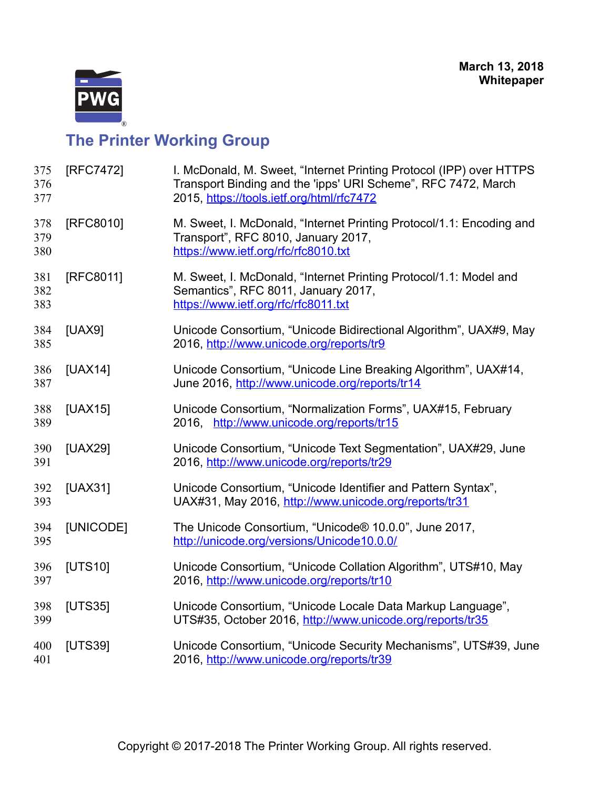

<span id="page-16-9"></span><span id="page-16-8"></span><span id="page-16-7"></span><span id="page-16-6"></span><span id="page-16-5"></span><span id="page-16-4"></span><span id="page-16-3"></span><span id="page-16-2"></span><span id="page-16-1"></span><span id="page-16-0"></span>

| [RFC7472] | I. McDonald, M. Sweet, "Internet Printing Protocol (IPP) over HTTPS<br>Transport Binding and the 'ipps' URI Scheme", RFC 7472, March<br>2015, https://tools.ietf.org/html/rfc7472 |
|-----------|-----------------------------------------------------------------------------------------------------------------------------------------------------------------------------------|
| [RFC8010] | M. Sweet, I. McDonald, "Internet Printing Protocol/1.1: Encoding and<br>Transport", RFC 8010, January 2017,<br>https://www.ietf.org/rfc/rfc8010.txt                               |
| [RFC8011] | M. Sweet, I. McDonald, "Internet Printing Protocol/1.1: Model and<br>Semantics", RFC 8011, January 2017,<br>https://www.ietf.org/rfc/rfc8011.txt                                  |
| [UAX9]    | Unicode Consortium, "Unicode Bidirectional Algorithm", UAX#9, May<br>2016, http://www.unicode.org/reports/tr9                                                                     |
| [UAX14]   | Unicode Consortium, "Unicode Line Breaking Algorithm", UAX#14,<br>June 2016, http://www.unicode.org/reports/tr14                                                                  |
| [UAX15]   | Unicode Consortium, "Normalization Forms", UAX#15, February<br>2016, http://www.unicode.org/reports/tr15                                                                          |
| [UAX29]   | Unicode Consortium, "Unicode Text Segmentation", UAX#29, June<br>2016, http://www.unicode.org/reports/tr29                                                                        |
| [UAX31]   | Unicode Consortium, "Unicode Identifier and Pattern Syntax",<br>UAX#31, May 2016, http://www.unicode.org/reports/tr31                                                             |
| [UNICODE] | The Unicode Consortium, "Unicode® 10.0.0", June 2017,<br>http://unicode.org/versions/Unicode10.0.0/                                                                               |
| [UTS10]   | Unicode Consortium, "Unicode Collation Algorithm", UTS#10, May<br>2016, http://www.unicode.org/reports/tr10                                                                       |
| [UTS35]   | Unicode Consortium, "Unicode Locale Data Markup Language",<br>UTS#35, October 2016, http://www.unicode.org/reports/tr35                                                           |
| [UTS39]   | Unicode Consortium, "Unicode Security Mechanisms", UTS#39, June<br>2016, http://www.unicode.org/reports/tr39                                                                      |
|           |                                                                                                                                                                                   |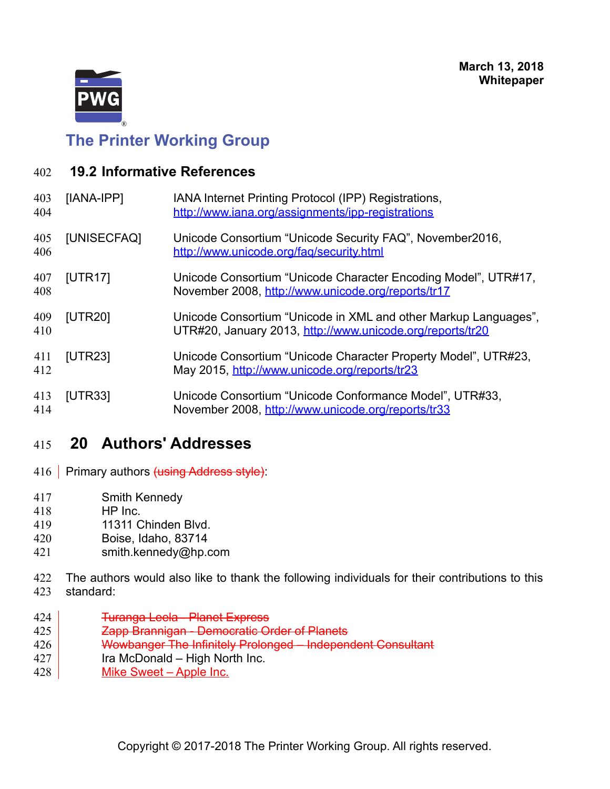

<span id="page-17-1"></span>

| 402 |  |  | <b>19.2 Informative References</b> |
|-----|--|--|------------------------------------|
|-----|--|--|------------------------------------|

<span id="page-17-7"></span><span id="page-17-4"></span><span id="page-17-3"></span><span id="page-17-2"></span>

| 403<br>404 | [IANA-IPP]     | IANA Internet Printing Protocol (IPP) Registrations,<br>http://www.iana.org/assignments/ipp-registrations                    |
|------------|----------------|------------------------------------------------------------------------------------------------------------------------------|
| 405<br>406 | [UNISECFAQ]    | Unicode Consortium "Unicode Security FAQ", November2016,<br>http://www.unicode.org/faq/security.html                         |
| 407<br>408 | <b>[UTR17]</b> | Unicode Consortium "Unicode Character Encoding Model", UTR#17,<br>November 2008, http://www.unicode.org/reports/tr17         |
| 409<br>410 | [UTR20]        | Unicode Consortium "Unicode in XML and other Markup Languages",<br>UTR#20, January 2013, http://www.unicode.org/reports/tr20 |
| 411<br>412 | <b>[UTR23]</b> | Unicode Consortium "Unicode Character Property Model", UTR#23,<br>May 2015, http://www.unicode.org/reports/tr23              |
| 413<br>414 | <b>[UTR33]</b> | Unicode Consortium "Unicode Conformance Model", UTR#33,<br>November 2008, http://www.unicode.org/reports/tr33                |

### <span id="page-17-6"></span><span id="page-17-5"></span><span id="page-17-0"></span> **20 Authors' Addresses** 415

- Primary authors (using Address style): 416
- Smith Kennedy 417
- HP Inc. 418
- 11311 Chinden Blvd. 419
- Boise, Idaho, 83714 420
- smith.kennedy@hp.com 421
- The authors would also like to thank the following individuals for their contributions to this standard: 422 423
- Turanga Leela Planet Express 424
- Zapp Brannigan Democratic Order of Planets 425
- Wowbanger The Infinitely Prolonged Independent Consultant 426
- Ira McDonald High North Inc. 427
- Mike Sweet Apple Inc. 428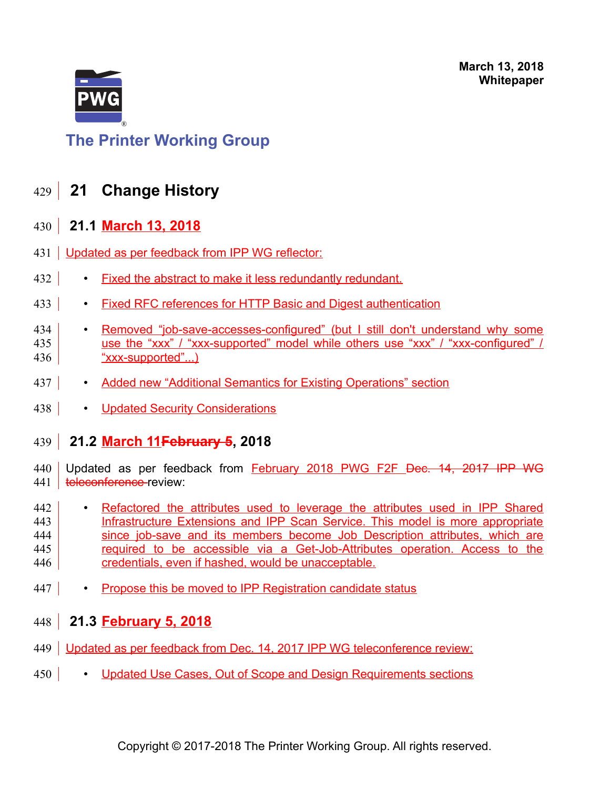

## <span id="page-18-3"></span>**The Printer Working Group**

### **21 Change History** 429

### <span id="page-18-2"></span> **21.1 March 13, 2018** 430

- 431 Updated as per feedback from IPP WG reflector:
- Fixed the abstract to make it less redundantly redundant. 432
- Fixed RFC references for HTTP Basic and Digest authentication 433
- Removed "job-save-accesses-configured" (but I still don't understand why some use the "xxx" / "xxx-supported" model while others use "xxx" / "xxx-configured" / "xxx-supported"...) 434 435 436
- Added new "Additional Semantics for Existing Operations" section 437
- Updated Security Considerations 438

#### <span id="page-18-1"></span> **21.2 March 11February 5, 2018** 439

Updated as per feedback from February 2018 PWG F2F Dec. 14, 2017 IPP WG teleconference review: 440 441

- Refactored the attributes used to leverage the attributes used in IPP Shared Infrastructure Extensions and IPP Scan Service. This model is more appropriate since job-save and its members become Job Description attributes, which are required to be accessible via a Get-Job-Attributes operation. Access to the credentials, even if hashed, would be unacceptable. 442 443 444 445 446
- Propose this be moved to IPP Registration candidate status 447
- <span id="page-18-0"></span> **21.3 February 5, 2018** 448
- 449 Updated as per feedback from Dec. 14, 2017 IPP WG teleconference review:
- Updated Use Cases, Out of Scope and Design Requirements sections 450